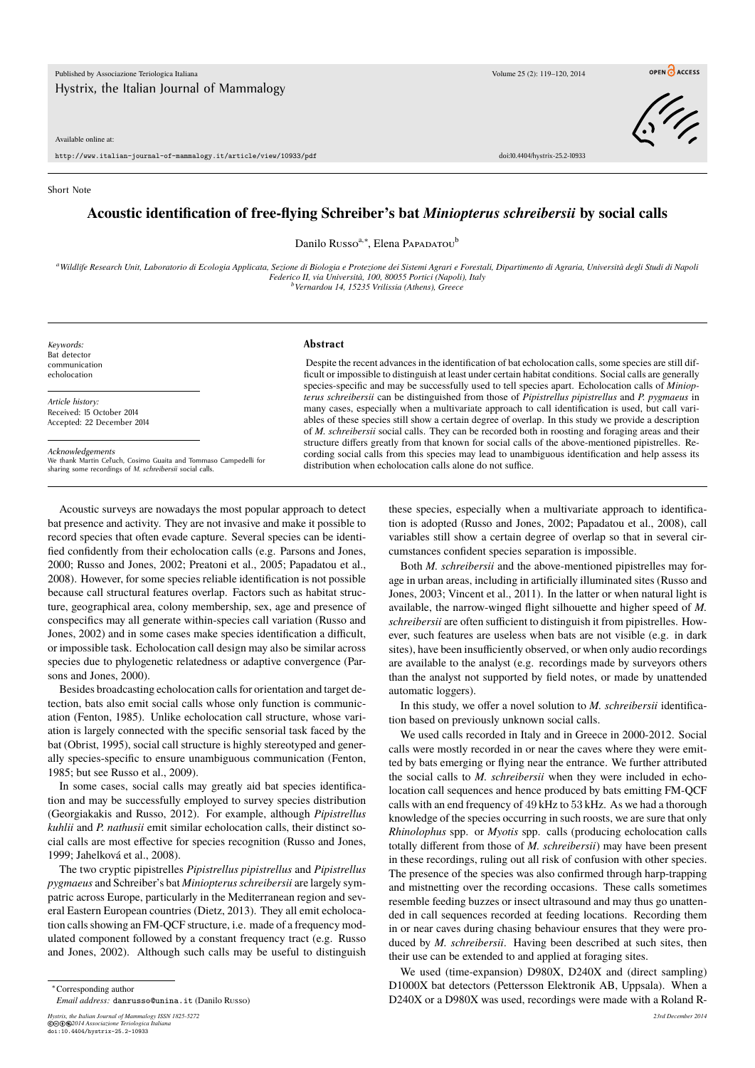Available online at:

http://www.italian-journal-of-mammalogy.it/article/view/10933/pdf doi:10.4404/hystrix-25.2-10933

## Short Note

## **Acoustic identification of free-flying Schreiber's bat** *Miniopterus schreibersii* **by social calls**

Danilo Russo<sup>a,∗</sup>, Elena Papapatou<sup>b</sup>

*<sup>a</sup>Wildlife Research Unit, Laboratorio di Ecologia Applicata, Sezione di Biologia e Protezione dei Sistemi Agrari e Forestali, Dipartimento di Agraria, Università degli Studi di Napoli Federico II, via Università, 100, 80055 Portici (Napoli), Italy <sup>b</sup>Vernardou 14, 15235 Vrilissia (Athens), Greece*

*Keywords:* Bat detector communication echolocation

*Article history:* Received: 15 October 2014 Accepted: 22 December 2014

*Acknowledgements* We thank Martin Cel'uch, Cosimo Guaita and Tommaso Campedelli for sharing some recordings of *M. schreibersii* social calls.

## **Abstract**

Despite the recent advances in the identification of bat echolocation calls, some species are still difficult or impossible to distinguish at least under certain habitat conditions. Social calls are generally species-specific and may be successfully used to tell species apart. Echolocation calls of *Miniopterus schreibersii* can be distinguished from those of *Pipistrellus pipistrellus* and *P. pygmaeus* in many cases, especially when a multivariate approach to call identification is used, but call variables of these species still show a certain degree of overlap. In this study we provide a description of *M. schreibersii* social calls. They can be recorded both in roosting and foraging areas and their structure differs greatly from that known for social calls of the above-mentioned pipistrelles. Recording social calls from this species may lead to unambiguous identification and help assess its distribution when echolocation calls alone do not suffice.

Acoustic surveys are nowadays the most popular approach to detect bat presence and activity. They are not invasive and make it possible to record species that often evade capture. Several species can be identified confidently from their echolocation calls (e.g. Parsons and Jones, 2000; Russo and Jones, 2002; Preatoni et al., 2005; Papadatou et al., 2008). However, for some species reliable identification is not possible because call structural features overlap. Factors such as habitat structure, geographical area, colony membership, sex, age and presence of conspecifics may all generate within-species call variation (Russo and Jones, 2002) and in some cases make species identification a difficult, or impossible task. Echolocation call design may also be similar across species due to phylogenetic relatedness or adaptive convergence (Parsons and Jones, 2000).

Besides broadcasting echolocation calls for orientation and target detection, bats also emit social calls whose only function is communication (Fenton, 1985). Unlike echolocation call structure, whose variation is largely connected with the specific sensorial task faced by the bat (Obrist, 1995), social call structure is highly stereotyped and generally species-specific to ensure unambiguous communication (Fenton, 1985; but see Russo et al., 2009).

In some cases, social calls may greatly aid bat species identification and may be successfully employed to survey species distribution (Georgiakakis and Russo, 2012). For example, although *Pipistrellus kuhlii* and *P. nathusii* emit similar echolocation calls, their distinct social calls are most effective for species recognition (Russo and Jones, 1999; Jahelková et al., 2008).

The two cryptic pipistrelles *Pipistrellus pipistrellus* and *Pipistrellus pygmaeus* and Schreiber's bat *Miniopterus schreibersii* are largely sympatric across Europe, particularly in the Mediterranean region and several Eastern European countries (Dietz, 2013). They all emit echolocation calls showing an FM-QCF structure, i.e. made of a frequency modulated component followed by a constant frequency tract (e.g. Russo and Jones, 2002). Although such calls may be useful to distinguish

*Hystrix, the Italian Journal of Mammalogy ISSN 1825-5272 23rd December 2014* ©cbe*2014 Associazione Teriologica Italiana* doi:10.4404/hystrix-25.2-10933

these species, especially when a multivariate approach to identification is adopted (Russo and Jones, 2002; Papadatou et al., 2008), call variables still show a certain degree of overlap so that in several circumstances confident species separation is impossible.

Both *M. schreibersii* and the above-mentioned pipistrelles may forage in urban areas, including in artificially illuminated sites (Russo and Jones, 2003; Vincent et al., 2011). In the latter or when natural light is available, the narrow-winged flight silhouette and higher speed of *M. schreibersii* are often sufficient to distinguish it from pipistrelles. However, such features are useless when bats are not visible (e.g. in dark sites), have been insufficiently observed, or when only audio recordings are available to the analyst (e.g. recordings made by surveyors others than the analyst not supported by field notes, or made by unattended automatic loggers).

In this study, we offer a novel solution to *M. schreibersii* identification based on previously unknown social calls.

We used calls recorded in Italy and in Greece in 2000-2012. Social calls were mostly recorded in or near the caves where they were emitted by bats emerging or flying near the entrance. We further attributed the social calls to *M. schreibersii* when they were included in echolocation call sequences and hence produced by bats emitting FM-QCF calls with an end frequency of 49 kHz to 53 kHz. As we had a thorough knowledge of the species occurring in such roosts, we are sure that only *Rhinolophus* spp. or *Myotis* spp. calls (producing echolocation calls totally different from those of *M. schreibersii*) may have been present in these recordings, ruling out all risk of confusion with other species. The presence of the species was also confirmed through harp-trapping and mistnetting over the recording occasions. These calls sometimes resemble feeding buzzes or insect ultrasound and may thus go unattended in call sequences recorded at feeding locations. Recording them in or near caves during chasing behaviour ensures that they were produced by *M. schreibersii*. Having been described at such sites, then their use can be extended to and applied at foraging sites.

We used (time-expansion) D980X, D240X and (direct sampling) D1000X bat detectors (Pettersson Elektronik AB, Uppsala). When a D240X or a D980X was used, recordings were made with a Roland R-



OPEN CACCESS

<sup>∗</sup>Corresponding author

*Email address:* danrusso@unina.it (Danilo Russo)